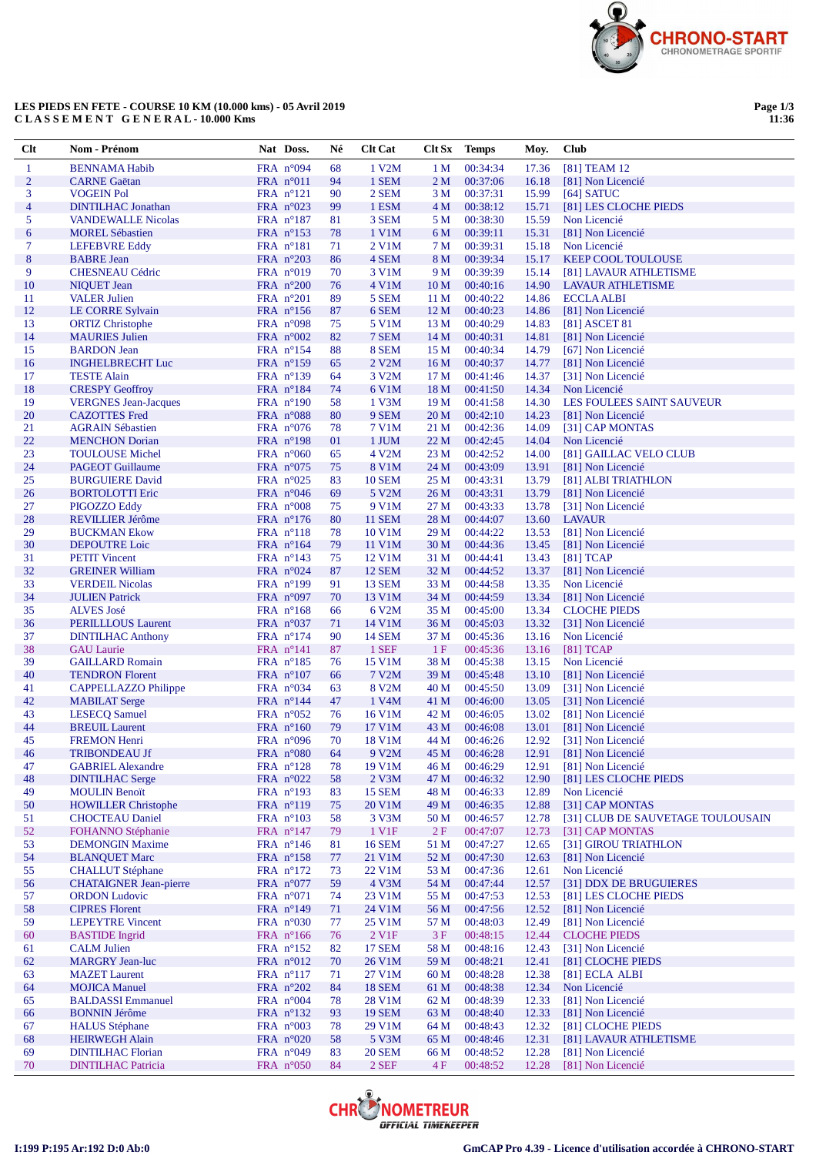

## **LES PIEDS EN FETE - COURSE 10 KM (10.000 kms) - 05 Avril 2019 C L A S S E M E N T G E N E R A L - 10.000 Kms**

**Page 1/3 11:36**

| Clt            | Nom - Prénom                                        | Nat Doss.                                | Né       | <b>Clt Cat</b>         | Clt Sx                  | <b>Temps</b>         | Moy.           | Club                                          |
|----------------|-----------------------------------------------------|------------------------------------------|----------|------------------------|-------------------------|----------------------|----------------|-----------------------------------------------|
| 1              | <b>BENNAMA Habib</b>                                | FRA n°094                                | 68       | 1 V2M                  | 1 <sub>M</sub>          | 00:34:34             | 17.36          | [81] TEAM 12                                  |
| $\overline{2}$ | <b>CARNE</b> Gaëtan                                 | FRA $n^{\circ}011$                       | 94       | 1 SEM                  | 2 <sub>M</sub>          | 00:37:06             | 16.18          | [81] Non Licencié                             |
| 3              | <b>VOGEIN Pol</b>                                   | $FRA$ n°121                              | 90       | 2 SEM                  | 3 M                     | 00:37:31             | 15.99          | $[64]$ SATUC                                  |
| $\overline{4}$ | <b>DINTILHAC Jonathan</b>                           | FRA $n^{\circ}023$                       | 99       | 1 ESM                  | 4 M                     | 00:38:12             | 15.71          | [81] LES CLOCHE PIEDS                         |
| 5              | <b>VANDEWALLE Nicolas</b>                           | FRA $n^{\circ}187$                       | 81       | 3 SEM                  | 5 M                     | 00:38:30             | 15.59          | Non Licencié                                  |
| 6              | <b>MOREL Sébastien</b>                              | FRA $n^{\circ}153$                       | 78       | 1 V1M                  | 6 M                     | 00:39:11             | 15.31          | [81] Non Licencié                             |
| 7              | <b>LEFEBVRE Eddy</b>                                | $FRA$ $n^{\circ}181$                     | 71       | 2 V1M                  | 7 M                     | 00:39:31             | 15.18          | Non Licencié                                  |
| $\bf 8$        | <b>BABRE</b> Jean                                   | FRA $n^{\circ}203$                       | 86       | 4 SEM                  | 8 M                     | 00:39:34             | 15.17          | <b>KEEP COOL TOULOUSE</b>                     |
| 9              | <b>CHESNEAU Cédric</b>                              | FRA $n^{\circ}019$                       | 70       | 3 V1M                  | 9 M                     | 00:39:39             | 15.14          | [81] LAVAUR ATHLETISME                        |
| 10<br>11       | <b>NIQUET Jean</b><br><b>VALER Julien</b>           | FRA n°200<br>FRA $n^{\circ}201$          | 76<br>89 | 4 V1M<br>5 SEM         | 10 <sub>M</sub><br>11 M | 00:40:16<br>00:40:22 | 14.90<br>14.86 | <b>LAVAUR ATHLETISME</b><br><b>ECCLA ALBI</b> |
| 12             | <b>LE CORRE Sylvain</b>                             | FRA $n^{\circ}156$                       | 87       | 6 SEM                  | 12 <sub>M</sub>         | 00:40:23             | 14.86          | [81] Non Licencié                             |
| 13             | <b>ORTIZ Christophe</b>                             | FRA $n^{\circ}098$                       | 75       | 5 V1M                  | 13 M                    | 00:40:29             | 14.83          | [81] ASCET 81                                 |
| 14             | <b>MAURIES</b> Julien                               | FRA $n^{\circ}002$                       | 82       | 7 SEM                  | 14 <sub>M</sub>         | 00:40:31             | 14.81          | [81] Non Licencié                             |
| 15             | <b>BARDON</b> Jean                                  | $FRA$ n°154                              | 88       | 8 SEM                  | 15 M                    | 00:40:34             | 14.79          | [67] Non Licencié                             |
| 16             | <b>INGHELBRECHT Luc</b>                             | FRA $n^{\circ}159$                       | 65       | 2 V2M                  | 16 <sub>M</sub>         | 00:40:37             | 14.77          | [81] Non Licencié                             |
| 17             | <b>TESTE Alain</b>                                  | FRA nº139                                | 64       | 3 V2M                  | 17 <sub>M</sub>         | 00:41:46             | 14.37          | [31] Non Licencié                             |
| 18             | <b>CRESPY Geoffroy</b>                              | FRA $n^{\circ}184$                       | 74       | 6 V1M                  | 18 <sub>M</sub>         | 00:41:50             | 14.34          | Non Licencié                                  |
| 19             | <b>VERGNES</b> Jean-Jacques                         | FRA $n^{\circ}190$                       | 58       | $1$ V $3M$             | 19 <sub>M</sub>         | 00:41:58             | 14.30          | LES FOULEES SAINT SAUVEUR                     |
| 20             | <b>CAZOTTES</b> Fred                                | FRA n°088                                | 80       | 9 SEM                  | 20 <sub>M</sub>         | 00:42:10             | 14.23          | [81] Non Licencié                             |
| 21             | <b>AGRAIN Sébastien</b>                             | FRA $n^{\circ}076$                       | 78       | 7 V1M                  | 21 M                    | 00:42:36             | 14.09          | [31] CAP MONTAS                               |
| 22             | <b>MENCHON</b> Dorian                               | FRA $n^{\circ}198$                       | 01       | 1 JUM                  | 22 M                    | 00:42:45             | 14.04          | Non Licencié                                  |
| 23             | <b>TOULOUSE Michel</b>                              | FRA $n^{\circ}060$                       | 65       | 4 V2M                  | 23 M                    | 00:42:52             | 14.00          | [81] GAILLAC VELO CLUB                        |
| 24             | <b>PAGEOT</b> Guillaume                             | FRA n°075                                | 75       | 8 V1M                  | 24 M                    | 00:43:09             | 13.91          | [81] Non Licencié                             |
| 25<br>26       | <b>BURGUIERE David</b>                              | FRA $n^{\circ}025$                       | 83       | <b>10 SEM</b><br>5 V2M | 25 M                    | 00:43:31             | 13.79          | [81] ALBI TRIATHLON                           |
| 27             | <b>BORTOLOTTI Eric</b>                              | FRA $n^{\circ}046$<br>FRA $n^{\circ}008$ | 69<br>75 | 9 V1M                  | 26 <sub>M</sub><br>27 M | 00:43:31<br>00:43:33 | 13.79<br>13.78 | [81] Non Licencié<br>[31] Non Licencié        |
| 28             | PIGOZZO Eddy<br><b>REVILLIER Jérôme</b>             | FRA $n^{\circ}176$                       | 80       | <b>11 SEM</b>          | 28 M                    | 00:44:07             | 13.60          | <b>LAVAUR</b>                                 |
| 29             | <b>BUCKMAN Ekow</b>                                 | FRA n°118                                | 78       | 10 V1M                 | 29 M                    | 00:44:22             | 13.53          | [81] Non Licencié                             |
| 30             | <b>DEPOUTRE Loic</b>                                | FRA $n^{\circ}164$                       | 79       | 11 V1M                 | 30 <sub>M</sub>         | 00:44:36             | 13.45          | [81] Non Licencié                             |
| 31             | <b>PETIT Vincent</b>                                | FRA $n^{\circ}143$                       | 75       | 12 V1M                 | 31 M                    | 00:44:41             | 13.43          | $[81]$ TCAP                                   |
| 32             | <b>GREINER William</b>                              | FRA $n^{\circ}024$                       | 87       | <b>12 SEM</b>          | 32 M                    | 00:44:52             | 13.37          | [81] Non Licencié                             |
| 33             | <b>VERDEIL Nicolas</b>                              | FRA $n^{\circ}199$                       | 91       | 13 SEM                 | 33 M                    | 00:44:58             | 13.35          | Non Licencié                                  |
| 34             | <b>JULIEN Patrick</b>                               | FRA $n^{\circ}097$                       | 70       | 13 V1M                 | 34 M                    | 00:44:59             | 13.34          | [81] Non Licencié                             |
| 35             | <b>ALVES</b> José                                   | FRA $n^{\circ}168$                       | 66       | 6 V2M                  | 35 M                    | 00:45:00             | 13.34          | <b>CLOCHE PIEDS</b>                           |
| 36             | <b>PERILLLOUS Laurent</b>                           | FRA $n^{\circ}037$                       | 71       | 14 V1M                 | 36 M                    | 00:45:03             | 13.32          | [31] Non Licencié                             |
| 37             | <b>DINTILHAC Anthony</b>                            | FRA $n^{\circ}174$                       | 90       | <b>14 SEM</b>          | 37 M                    | 00:45:36             | 13.16          | Non Licencié                                  |
| 38             | <b>GAU Laurie</b>                                   | FRA $n^{\circ}141$                       | 87       | 1 SEF                  | 1F                      | 00:45:36             | 13.16          | $[81]$ TCAP                                   |
| 39             | <b>GAILLARD Romain</b>                              | FRA $n^{\circ}185$                       | 76       | 15 V1M                 | 38 M                    | 00:45:38             | 13.15          | Non Licencié                                  |
| 40             | <b>TENDRON Florent</b>                              | FRA $n^{\circ}107$                       | 66       | 7 V2M                  | 39 M                    | 00:45:48             | 13.10          | [81] Non Licencié                             |
| 41<br>42       | <b>CAPPELLAZZO Philippe</b><br><b>MABILAT</b> Serge | FRA $n^{\circ}034$                       | 63<br>47 | 8 V2M<br>1 V4M         | 40 M                    | 00:45:50             | 13.09          | [31] Non Licencié                             |
| 43             | <b>LESECQ</b> Samuel                                | FRA $n^{\circ}144$<br>FRA n°052          | 76       | 16 V1M                 | 41 M<br>42 M            | 00:46:00<br>00:46:05 | 13.05<br>13.02 | [31] Non Licencié<br>[81] Non Licencié        |
| 44             | <b>BREUIL Laurent</b>                               | FRA $n^{\circ}160$                       | 79       | 17 V1M                 | 43 M                    | 00:46:08             | 13.01          | [81] Non Licencié                             |
| 45             | <b>FREMON Henri</b>                                 | FRA $n^{\circ}096$                       | 70       | 18 V1M                 | 44 M                    | 00:46:26             | 12.92          | [31] Non Licencié                             |
| 46             | <b>TRIBONDEAU Jf</b>                                | FRA $n^{\circ}080$                       | 64       | 9 V2M                  | 45 M                    | 00:46:28             | 12.91          | [81] Non Licencié                             |
| 47             | <b>GABRIEL Alexandre</b>                            | FRA n°128                                | 78       | 19 V1M                 | 46 M                    | 00:46:29             | 12.91          | [81] Non Licencié                             |
| 48             | <b>DINTILHAC Serge</b>                              | FRA n°022                                | 58       | 2 V3M                  | 47 M                    | 00:46:32             | 12.90          | [81] LES CLOCHE PIEDS                         |
| 49             | <b>MOULIN Benoït</b>                                | FRA $n^{\circ}193$                       | 83       | <b>15 SEM</b>          | 48 M                    | 00:46:33             | 12.89          | Non Licencié                                  |
| 50             | <b>HOWILLER Christophe</b>                          | FRA n°119                                | 75       | 20 V1M                 | 49 M                    | 00:46:35             | 12.88          | [31] CAP MONTAS                               |
| 51             | <b>CHOCTEAU Daniel</b>                              | FRA $n^{\circ}103$                       | 58       | 3 V3M                  | 50 M                    | 00:46:57             | 12.78          | [31] CLUB DE SAUVETAGE TOULOUSAIN             |
| 52             | FOHANNO Stéphanie                                   | FRA $n^{\circ}147$                       | 79       | 1 V1F                  | 2F                      | 00:47:07             | 12.73          | [31] CAP MONTAS                               |
| 53             | <b>DEMONGIN Maxime</b>                              | FRA $n^{\circ}146$                       | 81       | <b>16 SEM</b>          | 51 M                    | 00:47:27             | 12.65          | [31] GIROU TRIATHLON                          |
| 54             | <b>BLANQUET Marc</b>                                | FRA n°158                                | 77       | 21 V1M                 | 52 M                    | 00:47:30             | 12.63          | [81] Non Licencié                             |
| 55             | <b>CHALLUT</b> Stéphane                             | FRA $n^{\circ}172$                       | 73       | 22 V1M                 | 53 M                    | 00:47:36             | 12.61          | Non Licencié                                  |
| 56             | <b>CHATAIGNER Jean-pierre</b>                       | FRA n°077                                | 59       | 4 V3M                  | 54 M                    | 00:47:44             | 12.57          | [31] DDX DE BRUGUIERES                        |
| 57             | <b>ORDON Ludovic</b>                                | FRA $n^{\circ}071$                       | 74       | 23 V1M                 | 55 M                    | 00:47:53             | 12.53          | [81] LES CLOCHE PIEDS<br>[81] Non Licencié    |
| 58<br>59       | <b>CIPRES Florent</b><br><b>LEPEYTRE Vincent</b>    | FRA $n^{\circ}149$<br>FRA $n^{\circ}030$ | 71<br>77 | 24 V1M<br>25 V1M       | 56 M<br>57 M            | 00:47:56<br>00:48:03 | 12.52<br>12.49 | [81] Non Licencié                             |
| 60             | <b>BASTIDE</b> Ingrid                               | FRA n°166                                | 76       | 2 V <sub>1</sub> F     | 3F                      | 00:48:15             | 12.44          | <b>CLOCHE PIEDS</b>                           |
| 61             | <b>CALM Julien</b>                                  | FRA n°152                                | 82       | <b>17 SEM</b>          | 58 M                    | 00:48:16             | 12.43          | [31] Non Licencié                             |
| 62             | <b>MARGRY Jean-luc</b>                              | FRA $n^{\circ}012$                       | 70       | 26 V1M                 | 59 M                    | 00:48:21             | 12.41          | [81] CLOCHE PIEDS                             |
| 63             | <b>MAZET</b> Laurent                                | FRA $n^{\circ}117$                       | 71       | 27 V1M                 | 60 <sub>M</sub>         | 00:48:28             | 12.38          | [81] ECLA ALBI                                |
| 64             | <b>MOJICA Manuel</b>                                | FRA $n^{\circ}202$                       | 84       | <b>18 SEM</b>          | 61 M                    | 00:48:38             | 12.34          | Non Licencié                                  |
| 65             | <b>BALDASSI Emmanuel</b>                            | FRA $n^{\circ}004$                       | 78       | 28 V1M                 | 62 M                    | 00:48:39             | 12.33          | [81] Non Licencié                             |
| 66             | <b>BONNIN Jérôme</b>                                | FRA n°132                                | 93       | <b>19 SEM</b>          | 63 M                    | 00:48:40             | 12.33          | [81] Non Licencié                             |
| 67             | <b>HALUS</b> Stéphane                               | FRA $n^{\circ}003$                       | 78       | 29 V1M                 | 64 M                    | 00:48:43             | 12.32          | [81] CLOCHE PIEDS                             |
| 68             | <b>HEIRWEGH Alain</b>                               | FRA $n^{\circ}020$                       | 58       | 5 V3M                  | 65 M                    | 00:48:46             | 12.31          | [81] LAVAUR ATHLETISME                        |
| 69             | <b>DINTILHAC Florian</b>                            | FRA $n^{\circ}049$                       | 83       | <b>20 SEM</b>          | 66 M                    | 00:48:52             | 12.28          | [81] Non Licencié                             |
| 70             | <b>DINTILHAC Patricia</b>                           | FRA n°050                                | 84       | 2 SEF                  | 4F                      | 00:48:52             | 12.28          | [81] Non Licencié                             |

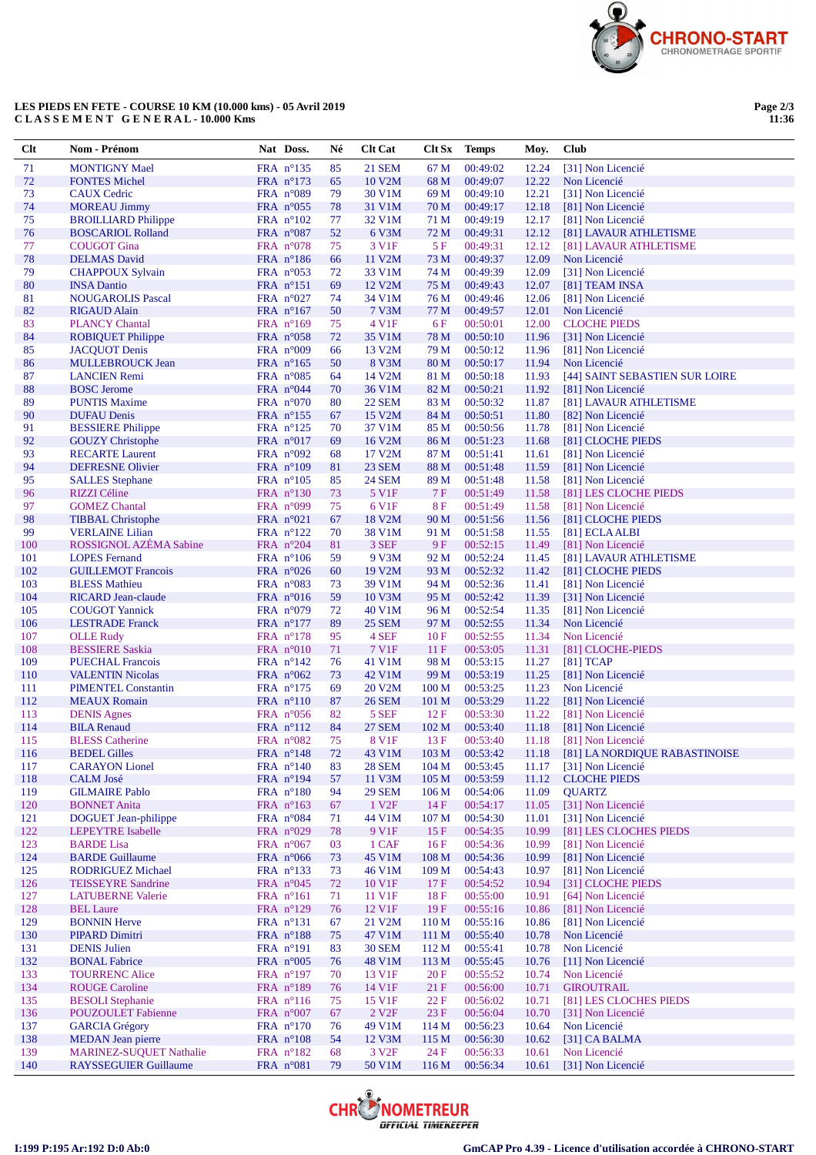

## **LES PIEDS EN FETE - COURSE 10 KM (10.000 kms) - 05 Avril 2019 C L A S S E M E N T G E N E R A L - 10.000 Kms**

| $Cl$ t     | Nom - Prénom                                        | Nat Doss.                                | Né       | <b>Clt Cat</b>                      | Clt Sx Temps            |                      | Moy.           | <b>Club</b>                                         |
|------------|-----------------------------------------------------|------------------------------------------|----------|-------------------------------------|-------------------------|----------------------|----------------|-----------------------------------------------------|
| 71         | <b>MONTIGNY Mael</b>                                | FRA $n^{\circ}$ 135                      | 85       | <b>21 SEM</b>                       | 67 M                    | 00:49:02             | 12.24          | [31] Non Licencié                                   |
| 72         | <b>FONTES Michel</b>                                | FRA $n^{\circ}173$                       | 65       | 10 V2M                              | 68 M                    | 00:49:07             | 12.22          | Non Licencié                                        |
| 73         | <b>CAUX Cedric</b>                                  | FRA $n^{\circ}089$                       | 79       | 30 V1M                              | 69 M                    | 00:49:10             | 12.21          | [31] Non Licencié                                   |
| 74         | <b>MOREAU Jimmy</b>                                 | FRA $n^{\circ}055$                       | 78       | 31 V1M                              | 70 M                    | 00:49:17             | 12.18          | [81] Non Licencié                                   |
| 75         | <b>BROILLIARD Philippe</b>                          | FRA $n^{\circ}102$                       | 77       | 32 V1M                              | 71 M                    | 00:49:19             | 12.17          | [81] Non Licencié                                   |
| 76<br>77   | <b>BOSCARIOL Rolland</b><br><b>COUGOT</b> Gina      | FRA n°087<br>FRA $n^{\circ}078$          | 52<br>75 | 6 V3M<br>3 V1F                      | 72 M<br>5 F             | 00:49:31<br>00:49:31 | 12.12<br>12.12 | [81] LAVAUR ATHLETISME<br>[81] LAVAUR ATHLETISME    |
| 78         | <b>DELMAS</b> David                                 | FRA $n^{\circ}186$                       | 66       | 11 V2M                              | 73 M                    | 00:49:37             | 12.09          | Non Licencié                                        |
| 79         | <b>CHAPPOUX Sylvain</b>                             | FRA $n^{\circ}053$                       | 72       | 33 V1M                              | 74 M                    | 00:49:39             | 12.09          | [31] Non Licencié                                   |
| 80         | <b>INSA Dantio</b>                                  | FRA $n^{\circ}151$                       | 69       | 12 V <sub>2</sub> M                 | 75 M                    | 00:49:43             | 12.07          | [81] TEAM INSA                                      |
| 81         | <b>NOUGAROLIS Pascal</b>                            | FRA $n^{\circ}027$                       | 74       | 34 V1M                              | 76 M                    | 00:49:46             | 12.06          | [81] Non Licencié                                   |
| 82         | <b>RIGAUD Alain</b>                                 | FRA $n^{\circ}167$                       | 50       | 7 V3M                               | 77 M                    | 00:49:57             | 12.01          | Non Licencié                                        |
| 83         | <b>PLANCY Chantal</b>                               | FRA $n^{\circ}169$                       | 75       | 4 V1F                               | 6 F                     | 00:50:01             | 12.00          | <b>CLOCHE PIEDS</b>                                 |
| 84         | <b>ROBIQUET Philippe</b>                            | FRA $n^{\circ}058$                       | 72       | 35 V1M                              | 78 M                    | 00:50:10             | 11.96          | [31] Non Licencié                                   |
| 85         | <b>JACQUOT</b> Denis                                | FRA $n^{\circ}009$                       | 66       | 13 V <sub>2</sub> M                 | 79 M                    | 00:50:12             | 11.96          | [81] Non Licencié                                   |
| 86         | <b>MULLEBROUCK Jean</b>                             | FRA $n^{\circ}165$                       | 50       | 8 V3M                               | 80 M                    | 00:50:17             | 11.94          | Non Licencié                                        |
| 87<br>88   | <b>LANCIEN Remi</b><br><b>BOSC</b> Jerome           | FRA $n^{\circ}085$<br>FRA $n^{\circ}044$ | 64<br>70 | 14 V <sub>2</sub> M<br>36 V1M       | 81 M<br>82 M            | 00:50:18<br>00:50:21 | 11.93<br>11.92 | [44] SAINT SEBASTIEN SUR LOIRE<br>[81] Non Licencié |
| 89         | <b>PUNTIS Maxime</b>                                | FRA $n^{\circ}070$                       | 80       | <b>22 SEM</b>                       | 83 M                    | 00:50:32             | 11.87          | [81] LAVAUR ATHLETISME                              |
| 90         | <b>DUFAU Denis</b>                                  | FRA $n^{\circ}155$                       | 67       | 15 V2M                              | 84 M                    | 00:50:51             | 11.80          | [82] Non Licencié                                   |
| 91         | <b>BESSIERE Philippe</b>                            | FRA $n^{\circ}125$                       | 70       | 37 V1M                              | 85 M                    | 00:50:56             | 11.78          | [81] Non Licencié                                   |
| 92         | <b>GOUZY</b> Christophe                             | FRA $n^{\circ}017$                       | 69       | 16 V2M                              | 86 M                    | 00:51:23             | 11.68          | [81] CLOCHE PIEDS                                   |
| 93         | <b>RECARTE Laurent</b>                              | FRA $n^{\circ}092$                       | 68       | 17 V2M                              | 87 M                    | 00:51:41             | 11.61          | [81] Non Licencié                                   |
| 94         | <b>DEFRESNE Olivier</b>                             | FRA $n^{\circ}109$                       | 81       | 23 SEM                              | 88 M                    | 00:51:48             | 11.59          | [81] Non Licencié                                   |
| 95         | <b>SALLES</b> Stephane                              | FRA $n^{\circ}105$                       | 85       | <b>24 SEM</b>                       | 89 M                    | 00:51:48             | 11.58          | [81] Non Licencié                                   |
| 96         | RIZZI Céline                                        | FRA $n^{\circ}130$                       | 73       | 5 V1F                               | 7 F                     | 00:51:49             | 11.58          | [81] LES CLOCHE PIEDS                               |
| 97<br>98   | <b>GOMEZ Chantal</b>                                | FRA $n^{\circ}099$                       | 75       | 6 V1F                               | 8F                      | 00:51:49             | 11.58          | [81] Non Licencié                                   |
| 99         | <b>TIBBAL Christophe</b><br><b>VERLAINE Lilian</b>  | FRA $n^{\circ}021$<br>FRA $n^{\circ}122$ | 67<br>70 | 18 V2M<br>38 V1M                    | 90 M<br>91 M            | 00:51:56<br>00:51:58 | 11.56<br>11.55 | [81] CLOCHE PIEDS<br>[81] ECLA ALBI                 |
| 100        | ROSSIGNOL AZÉMA Sabine                              | FRA $n^{\circ}204$                       | 81       | 3 SEF                               | 9F                      | 00:52:15             | 11.49          | [81] Non Licencié                                   |
| 101        | <b>LOPES</b> Fernand                                | FRA $n^{\circ}106$                       | 59       | 9 V3M                               | 92 M                    | 00:52:24             | 11.45          | [81] LAVAUR ATHLETISME                              |
| 102        | <b>GUILLEMOT Francois</b>                           | FRA $n^{\circ}026$                       | 60       | 19 V2M                              | 93 M                    | 00:52:32             | 11.42          | [81] CLOCHE PIEDS                                   |
| 103        | <b>BLESS Mathieu</b>                                | FRA $n^{\circ}083$                       | 73       | 39 V1M                              | 94 M                    | 00:52:36             | 11.41          | [81] Non Licencié                                   |
| 104        | <b>RICARD Jean-claude</b>                           | FRA $n^{\circ}016$                       | 59       | 10 V3M                              | 95 M                    | 00:52:42             | 11.39          | [31] Non Licencié                                   |
| 105        | <b>COUGOT Yannick</b>                               | FRA $n^{\circ}079$                       | 72       | 40 V1M                              | 96 M                    | 00:52:54             | 11.35          | [81] Non Licencié                                   |
| 106        | <b>LESTRADE</b> Franck                              | FRA $n^{\circ}177$                       | 89       | <b>25 SEM</b>                       | 97 M                    | 00:52:55             | 11.34          | Non Licencié                                        |
| 107        | <b>OLLE</b> Rudy                                    | FRA $n^{\circ}178$                       | 95       | 4 SEF                               | 10F                     | 00:52:55             | 11.34          | Non Licencié                                        |
| 108<br>109 | <b>BESSIERE Saskia</b>                              | FRA $n^{\circ}010$                       | 71       | 7 V1F                               | 11F                     | 00:53:05             | 11.31          | [81] CLOCHE-PIEDS                                   |
| 110        | <b>PUECHAL Francois</b><br><b>VALENTIN Nicolas</b>  | FRA $n^{\circ}142$<br>FRA $n^{\circ}062$ | 76<br>73 | 41 V1M<br>42 V1M                    | 98 M<br>99 M            | 00:53:15<br>00:53:19 | 11.27<br>11.25 | $[81]$ TCAP<br>[81] Non Licencié                    |
| 111        | <b>PIMENTEL Constantin</b>                          | FRA $n^{\circ}175$                       | 69       | 20 V2M                              | 100 <sub>M</sub>        | 00:53:25             | 11.23          | Non Licencié                                        |
| 112        | <b>MEAUX</b> Romain                                 | FRA $n^{\circ}110$                       | 87       | <b>26 SEM</b>                       | 101 M                   | 00:53:29             | 11.22          | [81] Non Licencié                                   |
| 113        | <b>DENIS Agnes</b>                                  | FRA $n^{\circ}056$                       | 82       | 5 SEF                               | 12F                     | 00:53:30             | 11.22          | [81] Non Licencié                                   |
| 114        | <b>BILA Renaud</b>                                  | FRA $n^{\circ}112$                       | 84       | <b>27 SEM</b>                       | 102 <sub>M</sub>        | 00:53:40             | 11.18          | [81] Non Licencié                                   |
| 115        | <b>BLESS</b> Catherine                              | FRA $n^{\circ}082$                       | 75       | <b>8 V1F</b>                        | 13F                     | 00:53:40             | 11.18          | [81] Non Licencié                                   |
| 116        | <b>BEDEL Gilles</b>                                 | FRA $n^{\circ}148$                       | 72       | 43 V1M                              | 103 M                   | 00:53:42             |                | 11.18 [81] LA NORDIQUE RABASTINOISE                 |
| 117        | <b>CARAYON</b> Lionel                               | FRA n°140                                | 83       | <b>28 SEM</b>                       | 104 M                   | 00:53:45             | 11.17          | [31] Non Licencié                                   |
| 118        | <b>CALM</b> José<br><b>GILMAIRE Pablo</b>           | FRA n°194                                | 57       | 11 V3M                              | 105 M                   | 00:53:59             | 11.12          | <b>CLOCHE PIEDS</b>                                 |
| 119<br>120 | <b>BONNET Anita</b>                                 | FRA $n^{\circ}180$<br>FRA $n^{\circ}163$ | 94<br>67 | <b>29 SEM</b><br>1 V <sub>2</sub> F | 106 <sub>M</sub><br>14F | 00:54:06<br>00:54:17 | 11.09<br>11.05 | <b>QUARTZ</b><br>[31] Non Licencié                  |
| 121        | <b>DOGUET</b> Jean-philippe                         | FRA $n^{\circ}084$                       | 71       | 44 V1M                              | 107 M                   | 00:54:30             | 11.01          | [31] Non Licencié                                   |
| 122        | <b>LEPEYTRE Isabelle</b>                            | FRA $n^{\circ}029$                       | 78       | 9 V1F                               | 15F                     | 00:54:35             | 10.99          | [81] LES CLOCHES PIEDS                              |
| 123        | <b>BARDE</b> Lisa                                   | FRA $n^{\circ}067$                       | 03       | 1 CAF                               | 16F                     | 00:54:36             | 10.99          | [81] Non Licencié                                   |
| 124        | <b>BARDE Guillaume</b>                              | FRA n°066                                | 73       | 45 V1M                              | 108 <sub>M</sub>        | 00:54:36             | 10.99          | [81] Non Licencié                                   |
| 125        | <b>RODRIGUEZ Michael</b>                            | FRA $n^{\circ}$ 133                      | 73       | 46 V1M                              | 109 M                   | 00:54:43             | 10.97          | [81] Non Licencié                                   |
| 126        | <b>TEISSEYRE Sandrine</b>                           | FRA $n^{\circ}045$                       | 72       | 10 V1F                              | 17F                     | 00:54:52             | 10.94          | [31] CLOCHE PIEDS                                   |
| 127        | <b>LATUBERNE Valerie</b>                            | FRA $n^{\circ}161$                       | 71       | 11 V1F                              | 18F                     | 00:55:00             | 10.91          | [64] Non Licencié                                   |
| 128<br>129 | <b>BEL Laure</b><br><b>BONNIN Herve</b>             | FRA n°129<br>FRA $n^{\circ}131$          | 76       | 12 V1F<br>21 V2M                    | 19F<br>110 M            | 00:55:16<br>00:55:16 | 10.86<br>10.86 | [81] Non Licencié<br>[81] Non Licencié              |
| 130        | PIPARD Dimitri                                      | FRA $n^{\circ}188$                       | 67<br>75 | 47 V1M                              | 111 M                   | 00:55:40             | 10.78          | Non Licencié                                        |
| 131        | <b>DENIS Julien</b>                                 | FRA n°191                                | 83       | <b>30 SEM</b>                       | 112 M                   | 00:55:41             | 10.78          | Non Licencié                                        |
| 132        | <b>BONAL Fabrice</b>                                | FRA $n^{\circ}005$                       | 76       | 48 V1M                              | 113 M                   | 00:55:45             | 10.76          | [11] Non Licencié                                   |
| 133        | <b>TOURRENC Alice</b>                               | FRA $n^{\circ}197$                       | 70       | 13 V1F                              | 20 F                    | 00:55:52             | 10.74          | Non Licencié                                        |
| 134        | <b>ROUGE Caroline</b>                               | FRA n°189                                | 76       | 14 V1F                              | 21 F                    | 00:56:00             | 10.71          | <b>GIROUTRAIL</b>                                   |
| 135        | <b>BESOLI</b> Stephanie                             | FRA $n^{\circ}116$                       | 75       | 15 V1F                              | 22 F                    | 00:56:02             | 10.71          | [81] LES CLOCHES PIEDS                              |
| 136        | <b>POUZOULET Fabienne</b>                           | FRA $n^{\circ}007$                       | 67       | 2 V <sub>2F</sub>                   | $23\,\mathrm{F}$        | 00:56:04             | 10.70          | [31] Non Licencié                                   |
| 137        | <b>GARCIA</b> Grégory                               | FRA $n^{\circ}170$                       | 76       | 49 V1M                              | 114 M                   | 00:56:23             | 10.64          | Non Licencié                                        |
| 138        | <b>MEDAN</b> Jean pierre<br>MARINEZ-SUQUET Nathalie | FRA n°108                                | 54       | 12 V3M<br>3 V <sub>2F</sub>         | 115 M                   | 00:56:30             | 10.62          | [31] CA BALMA<br>Non Licencié                       |
| 139<br>140 | <b>RAYSSEGUIER Guillaume</b>                        | FRA $n^{\circ}182$<br>FRA n°081          | 68<br>79 | 50 V1M                              | 24 F<br>116 M           | 00:56:33<br>00:56:34 | 10.61<br>10.61 | [31] Non Licencié                                   |
|            |                                                     |                                          |          |                                     |                         |                      |                |                                                     |